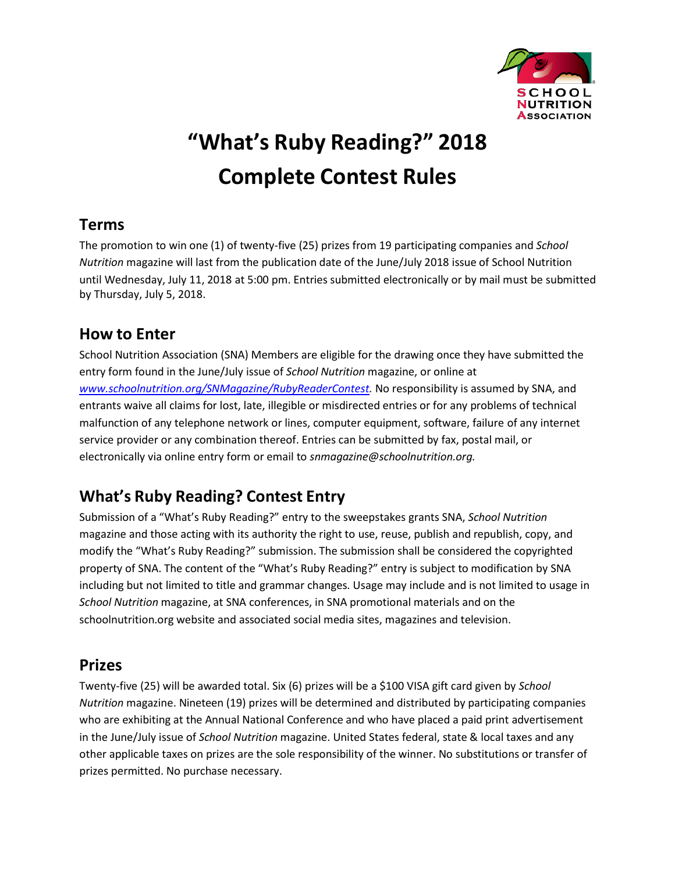

# **"What's Ruby Reading?" 2018 Complete Contest Rules**

### **Terms**

The promotion to win one (1) of twenty-five (25) prizes from 19 participating companies and *School Nutrition* magazine will last from the publication date of the June/July 2018 issue of School Nutrition until Wednesday, July 11, 2018 at 5:00 pm. Entries submitted electronically or by mail must be submitted by Thursday, July 5, 2018.

#### **How to Enter**

School Nutrition Association (SNA) Members are eligible for the drawing once they have submitted the entry form found in the June/July issue of *School Nutrition* magazine, or online at *[www.schoolnutrition.org/SNMagazine/RubyReaderContest.](http://www.schoolnutrition.org/SNMagazine/RubyReaderContest)* No responsibility is assumed by SNA, and entrants waive all claims for lost, late, illegible or misdirected entries or for any problems of technical malfunction of any telephone network or lines, computer equipment, software, failure of any internet service provider or any combination thereof. Entries can be submitted by fax, postal mail, or electronically via online entry form or email to *[snmagazine@schoolnutrition.org.](mailto:snmagazine@schoolnutrition.org)*

# **What's Ruby Reading? Contest Entry**

Submission of a "What's Ruby Reading?" entry to the sweepstakes grants SNA, *School Nutrition*  magazine and those acting with its authority the right to use, reuse, publish and republish, copy, and modify the "What's Ruby Reading?" submission. The submission shall be considered the copyrighted property of SNA. The content of the "What's Ruby Reading?" entry is subject to modification by SNA including but not limited to title and grammar changes. Usage may include and is not limited to usage in *School Nutrition* magazine, at SNA conferences, in SNA promotional materials and on the schoolnutrition.org website and associated social media sites, magazines and television.

#### **Prizes**

Twenty-five (25) will be awarded total. Six (6) prizes will be a \$100 VISA gift card given by *School Nutrition* magazine. Nineteen (19) prizes will be determined and distributed by participating companies who are exhibiting at the Annual National Conference and who have placed a paid print advertisement in the June/July issue of *School Nutrition* magazine. United States federal, state & local taxes and any other applicable taxes on prizes are the sole responsibility of the winner. No substitutions or transfer of prizes permitted. No purchase necessary.